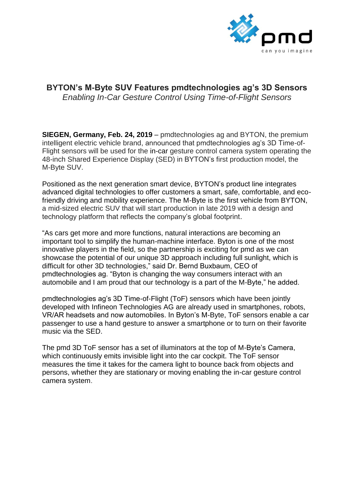

# **BYTON's M-Byte SUV Features pmdtechnologies ag's 3D Sensors**  *Enabling In-Car Gesture Control Using Time-of-Flight Sensors*

**SIEGEN, Germany, Feb. 24, 2019** – pmdtechnologies ag and BYTON, the premium intelligent electric vehicle brand, announced that pmdtechnologies ag's 3D Time-of-Flight sensors will be used for the in-car gesture control camera system operating the 48-inch Shared Experience Display (SED) in BYTON's first production model, the M-Byte SUV.

Positioned as the next generation smart device, BYTON's product line integrates advanced digital technologies to offer customers a smart, safe, comfortable, and ecofriendly driving and mobility experience. The M-Byte is the first vehicle from BYTON, a mid-sized electric SUV that will start production in late 2019 with a design and technology platform that reflects the company's global footprint.

"As cars get more and more functions, natural interactions are becoming an important tool to simplify the human-machine interface. Byton is one of the most innovative players in the field, so the partnership is exciting for pmd as we can showcase the potential of our unique 3D approach including full sunlight, which is difficult for other 3D technologies," said Dr. Bernd Buxbaum, CEO of pmdtechnologies ag. "Byton is changing the way consumers interact with an automobile and I am proud that our technology is a part of the M-Byte," he added.

pmdtechnologies ag's 3D Time-of-Flight (ToF) sensors which have been jointly developed with Infineon Technologies AG are already used in smartphones, robots, VR/AR headsets and now automobiles. In Byton's M-Byte, ToF sensors enable a car passenger to use a hand gesture to answer a smartphone or to turn on their favorite music via the SED.

The pmd 3D ToF sensor has a set of illuminators at the top of M-Byte's Camera, which continuously emits invisible light into the car cockpit. The ToF sensor measures the time it takes for the camera light to bounce back from objects and persons, whether they are stationary or moving enabling the in-car gesture control camera system.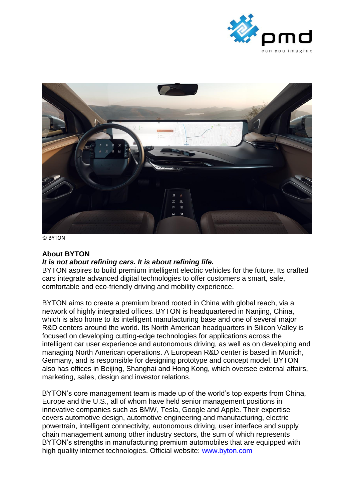



© BYTON

### **About BYTON**

#### *It is not about refining cars. It is about refining life.*

BYTON aspires to build premium intelligent electric vehicles for the future. Its crafted cars integrate advanced digital technologies to offer customers a smart, safe, comfortable and eco-friendly driving and mobility experience.

BYTON aims to create a premium brand rooted in China with global reach, via a network of highly integrated offices. BYTON is headquartered in Nanjing, China, which is also home to its intelligent manufacturing base and one of several major R&D centers around the world. Its North American headquarters in Silicon Valley is focused on developing cutting-edge technologies for applications across the intelligent car user experience and autonomous driving, as well as on developing and managing North American operations. A European R&D center is based in Munich, Germany, and is responsible for designing prototype and concept model. BYTON also has offices in Beijing, Shanghai and Hong Kong, which oversee external affairs, marketing, sales, design and investor relations.

BYTON's core management team is made up of the world's top experts from China, Europe and the U.S., all of whom have held senior management positions in innovative companies such as BMW, Tesla, Google and Apple. Their expertise covers automotive design, automotive engineering and manufacturing, electric powertrain, intelligent connectivity, autonomous driving, user interface and supply chain management among other industry sectors, the sum of which represents BYTON's strengths in manufacturing premium automobiles that are equipped with high quality internet technologies. Official website: [www.byton.com](http://www.byton.com/)